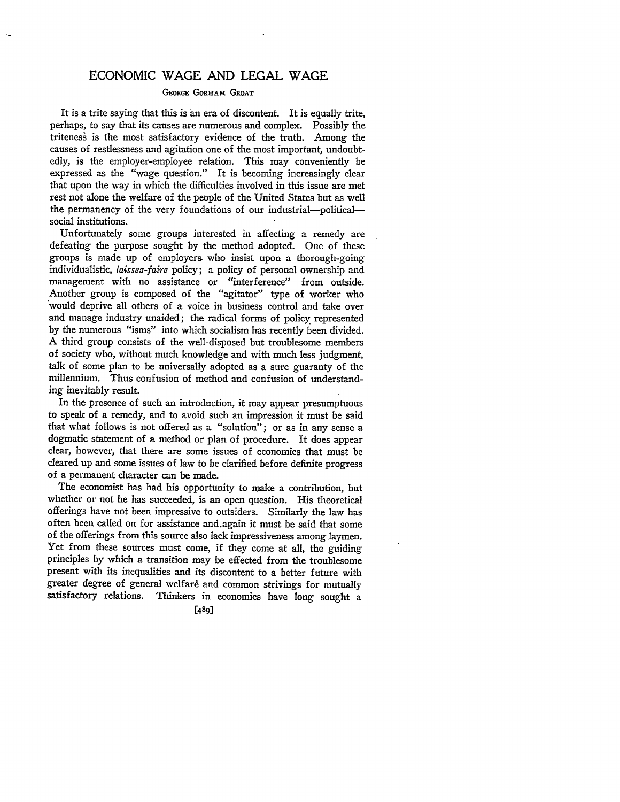## ECONOMIC WAGE AND LEGAL WAGE

## **GEORGE GORHAm GROAT**

It is a trite saying that this is an era of discontent. It is equally trite, perhaps, to say that its causes are numerous and complex. Possibly the triteness is the most satisfactory evidence of the truth. Among the causes of restlessness and agitation one of the most important, undoubtedly, is the employer-employee relation. This may conveniently be expressed as the "wage question." It is becoming increasingly clear that upon the way in which the difficulties involved in this issue are met rest not alone the welfare of the people of the United States but as well the permanency of the very foundations of our industrial-politicalsocial institutions.

Unfortunately some groups interested in affecting a remedy are defeating the purpose sought by the method adopted. One of these groups is made up of employers who insist upon a thorough-going individualistic, *laissez-faire* policy; a policy of personal ownership and management with no assistance or "interference" from outside. Another group is composed of the "agitator" type of worker who would deprive all others of a voice in business control and take over and manage industry unaided; the radical forms of policy represented by the numerous "isms" into which socialism has recently been divided. A third group consists of the well-disposed but troublesome members of society who, without much knowledge and with much less judgment, talk of some plan to be universally adopted as a sure guaranty of the millennium. Thus confusion of method and confusion of understanding inevitably result.

In the presence of such an introduction, it may appear presumptuous to speak of a remedy, and to avoid such an impression it must be said that what follows is not offered as a "solution"; or as in any sense a dogmatic statement of a method or plan of procedure. It does appear clear, however, that there are some issues of economics that must be cleared up and some issues of law to be clarified before definite progress of a permanent character can be made.

The economist has had his opportunity to make a contribution, but whether or not he has succeeded, is an open question. His theoretical offerings have not been impressive to outsiders. Similarly the law has often been called on for assistance and.again it must be said that some of the offerings from this source also lack impressiveness among laymen. Yet from these sources must come, if they come at all, the guiding principles by which a transition may be effected from the troublesome present with its inequalities and its discontent to a better future with greater degree of general welfare and common strivings for mutually satisfactory relations. Thinkers in economics have long sought a

**[489]**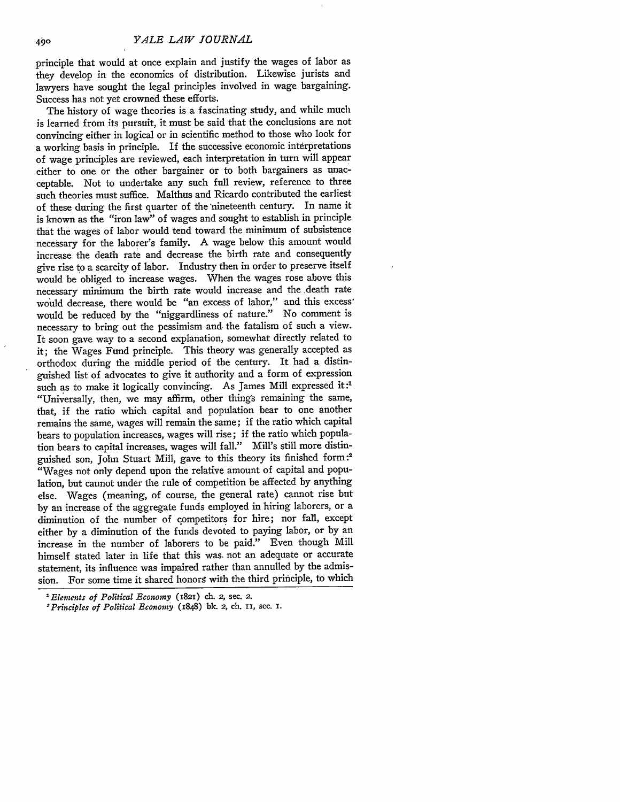principle that would at once explain and justify the wages of labor as they develop in the economics of distribution. Likewise jurists and lawyers have sought the legal principles involved in wage bargaining. Success has not yet crowned these efforts.

The history of wage theories is a fascinating study, and while much is learned from its pursuit, it must be said that the conclusions are not convincing either in logical or in scientific method to those who look for a working basis in principle. If the successive economic interpretations of wage principles are reviewed, each interpretation in turn will appear either to one or the other bargainer or to both bargainers as unacceptable. Not to undertake any such full review, reference to three such theories must suffice. Malthus and Ricardo contributed the earliest of these during the first quarter of the nineteenth century. In name it is known as the "iron law" of wages and sought to establish in principle that the wages of labor would tend toward the minimum of subsistence necessary for the laborer's family. A wage below this amount would increase the death rate and decrease the birth rate and consequently give rise to a scarcity of labor. Industry then in order to preserve itself would be obliged to increase wages. When the wages rose above this necessary minimum the birth rate would increase and the death rate would decrease, there would be "an excess of labor," and this excess would be reduced by the "niggardliness of nature." No comment is necessary to bring out the pessimism and. the fatalism of such a view. It soon gave way to a second explanation, somewhat directly related to it; the Wages Fund principle. This theory was generally accepted as orthodox during the middle period of the century. It had a distinguished list of advocates to give it authority and a form of expression such as to make it logically convincing. As James Mill expressed it:<sup>1</sup> "Universally, then, we may affirm, other things remaining the same, that, if the ratio which capital and population bear to one another remains the same, wages will remain the same; if the ratio which capital bears to population increases, wages will rise; if the ratio which population bears to capital increases, wages will fall." Mill's still more distinguished son, John Stuart Mill, gave to this theory its finished form :2 "Wages not only depend upon the relative amount of capital and population, but cannot under the rule of competition be affected by anything else. Wages (meaning, of course, the general rate) cannot rise but by an increase of the aggregate funds employed in hiring laborers, or a diminution of the number of competitors for hire; nor fall, except either by a diminution of the funds devoted to paying labor, or by an increase in the number of laborers to be paid." Even though Mill himself stated later in life that this was. not an adequate or accurate statement, its influence was impaired rather than annulled by the admission. For some time it shared honors with the third principle, to which

*<sup>&#</sup>x27;Elements of Political Economy* (1821) ch. 2, sec. **2.**

*<sup>&#</sup>x27;Principles of Political Economy* (1848) **bk.** 2, ch. **ii,** sec. **i.**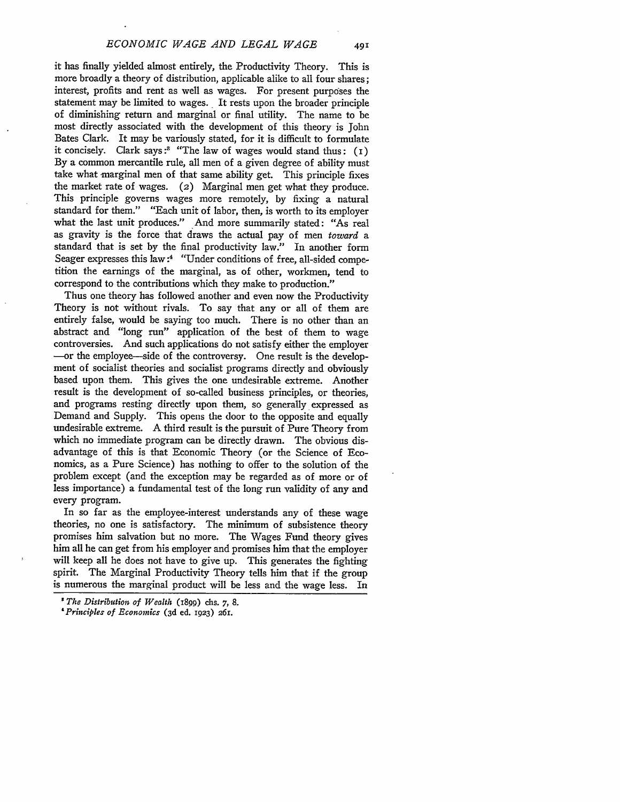it has finally yielded almost entirely, the Productivity Theory. This is more broadly a theory of distribution, applicable alike to all four shares; interest, profits and rent as well as wages. For present purposes the statement may be limited to wages. It rests upon the broader principle of diminishing return and marginal or final utility. The name to be most directly associated with the development of this theory is John Bates Clark. It may be variously stated, for it is difficult to formulate it concisely. Clark says:<sup>3</sup> "The law of wages would stand thus:  $(1)$ By a common mercantile rule, all men of a given degree of ability must take what marginal men of that same ability get. This principle fixes the market rate of wages. (2) Marginal men get what they produce. This principle governs wages more remotely, by fixing a natural standard for them." "Each unit of labor, then, is worth to its employer what the last unit produces." And more summarily stated: "As real as gravity is the force that draws the actual pay of men *toward a* standard that is set by the final productivity law." In another form Seager expresses this law :<sup>4</sup> "Under conditions of free, all-sided competition the earnings of the marginal, as of other, workmen, tend to correspond to the contributions which they make to production."

Thus one theory has followed another and even now the Productivity Theory is not without rivals. To say that any or all of them are entirely false, would be saying too much. There is no other than an abstract and "long run" application of the best of them to wage controversies. And such applications do not satisfy either the employer -or the employee-side of the controversy. One result is the development of socialist theories and socialist programs directly and obviously based upon them. This gives the one undesirable extreme. Another result is the development of so-called business principles, or theories, and programs resting directly upon them, so generally expressed as Demand and Supply. This opens the door to the opposite and equally undesirable extreme. A third result is the pursuit of Pure Theory from which no immediate program can be directly drawn. The obvious disadvantage of this is that Economic Theory (or the Science of Economics, as a Pure Science) has nothing to offer to the solution of the problem except (and the exception may be regarded as of more or of less importance) a fundamental test of the long run validity of any and every program.

In so far as the employee-interest understands any of these wage theories, no one is satisfactory. The minimum of subsistence theory promises him salvation but no more. The Wages Fund theory gives him all he can get from his employer and promises him that the employer will keep all he does not have to give up. This generates the fighting spirit. The Marginal Productivity Theory tells him that if the group is numerous the marginal product will be less and the wage less. In

*<sup>&#</sup>x27;The Distribution of Wealth* (1899) chs. *7,* 8.

*<sup>&#</sup>x27;Principles of Economics* (3d ed. **1923) 261.**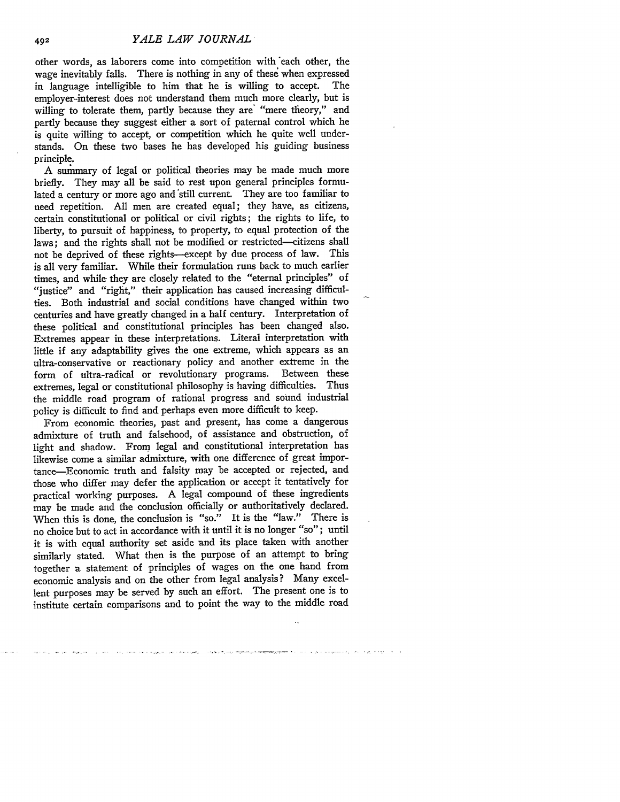other words, as laborers come into competition with each other, the wage inevitably falls. There is nothing in any of these when expressed in language intelligible to him that he is willing to accept. The employer-interest does not understand them much more clearly, but is willing to tolerate them, partly because they are "mere theory," and partly because they suggest either a sort of paternal control which he is quite willing to accept, or competition which he quite well understands. On these two bases he has developed his guiding business principle.

A summary of legal or political theories may be made much more briefly. They may all be said to rest upon general principles formulated a century or more ago and'still current. They are too familiar to need repetition. All men are created equal; they have, as citizens, certain constitutional or political or civil rights; the rights to life, to liberty, to pursuit of happiness, to property, to equal protection of the laws; and the rights shall not be modified or restricted-citizens shall not be deprived of these rights--except by due process of law. This is all very familiar. While their formulation runs back to much earlier times, and while they are closely related to the "eternal principles" of "justice" and "right," their application has caused increasing difficulties. Both industrial and social conditions have changed within two centuries and have greatly changed in a half century. Interpretation of these political and constitutional principles has been changed also. Extremes appear in these interpretations. Literal interpretation with little if any adaptability gives the one extreme, which appears as an ultra-conservative or reactionary policy and another extreme in the form of ultra-radical or revolutionary programs. Between these<br>extremes legal or constitutional philosophy is having difficulties. Thus extremes, legal or constitutional philosophy is having difficulties. the middle road program of rational progress and sound industrial policy is difficult to find and perhaps even more difficult to keep.

From economic theories, past and present, has come a dangerous admixture of truth and falsehood, of assistance and obstruction, of light and shadow. From legal and constitutional interpretation has likewise come a similar admixture, with one difference of great importance-Economic truth and falsity may be accepted or rejected, and those who differ may defer the application or accept it tentatively for practical working purposes. A legal compound of these ingredients may be made and the conclusion officially or authoritatively declared. When this is done, the conclusion is "so." It is the "law." There is no choice but to act in accordance with it until it is no longer "so"; until it is with equal authority set aside and its place taken with another similarly stated. What then is the purpose of an attempt to bring together a statement of principles of wages on the one hand from economic analysis and on the other from legal analysis? Many excellent purposes may be served by such an effort. The present one is to institute certain comparisons and to point the way to the middle road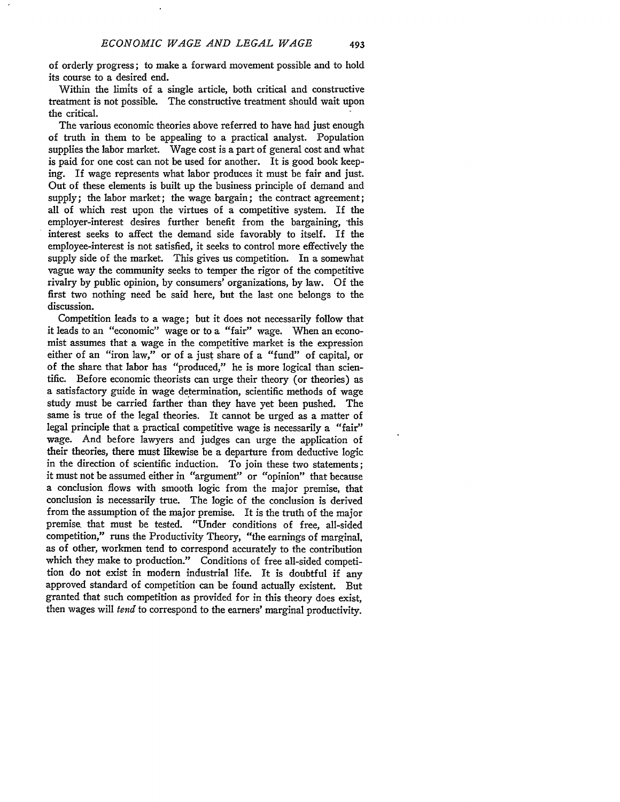of orderly progress; to make a forward movement possible and to hold its course to a desired end.

Within the limits of a single article, both critical and constructive treatment is not possible. The constructive treatment should wait upon the critical.

The various economic theories above referred to have had just enough of truth in them to be appealing to a practical analyst. Population supplies the labor market. Wage cost is a part of general cost and what is paid for one cost can not be used for another. It is good book keeping. If wage represents what labor produces it must be fair and just. Out of these elements is built up the business principle of demand and supply; the labor market; the wage bargain; the contract agreement; all of which rest upon the virtues of a competitive system. If the employer-interest desires further benefit from the bargaining, this interest seeks to affect the demand side favorably to itself. If the employee-interest is not satisfied, it seeks to control more effectively the supply side of the market. This gives us competition. In a somewhat vague way the community seeks to temper the rigor of the competitive rivalry by public opinion, by consumers' organizations, by law. Of the first two nothing need be said here, but the last one belongs to the discussion.

Competition leads to a wage; but it does not necessarily follow that it leads to an "economic" wage or to a "fair" wage. When an economist assumes that a wage in the competitive market is the expression either of an "iron law," or of a just share of a "fund" of capital, or of the share that labor has "produced," he is more logical than scientific. Before economic theorists can urge their theory (or theories) as a satisfactory guide in wage determination, scientific methods of wage study must be carried farther than they have yet been pushed. The same is true of the legal theories. It cannot be urged as a matter of legal principle that a practical competitive wage is necessarily a "fair" wage. And before lawyers and judges can urge the application of their theories, there must likewise be a departure from deductive logic in the direction of scientific induction. To join these two statements; it must not be assumed either in "argument" or "opinion" that because a conclusion flows with smooth logic from the major premise, that conclusion is necessarily true. The logic of the conclusion is derived from the assumption of the major premise. It is the truth of the major premise. that must be tested. "Under conditions of free, all-sided competition," runs the Productivity Theory, "the earnings of marginal, as of other, workmen tend to correspond accurately to the contribution which they make to production." Conditions of free all-sided competition do not exist in modem industrial life. It is doubtful if any approved standard of competition can be found actually existent. But granted that such competition as provided for in this theory does exist, then wages will *tend* to correspond to the earners' marginal productivity.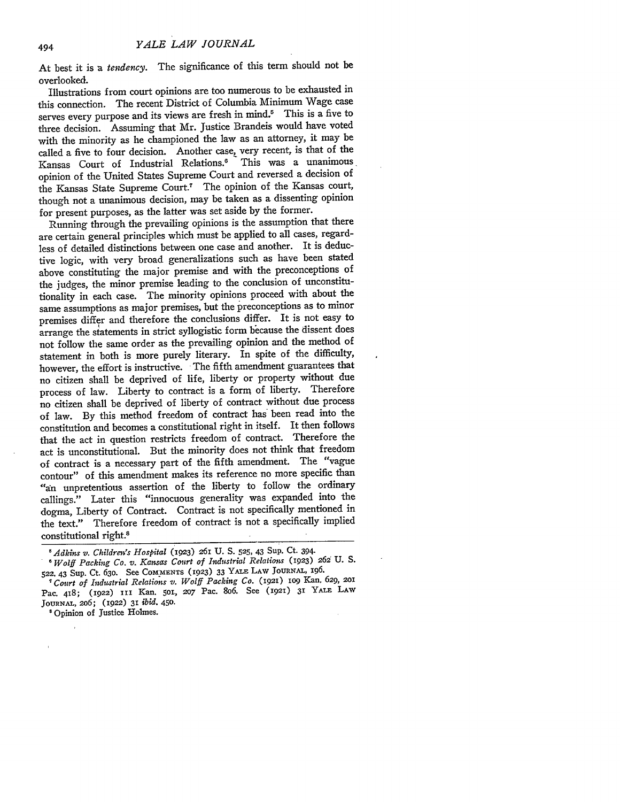At best it is a *tendency.* The significance of this term should not be overlooked.

Illustrations from court opinions are too numerous to be exhausted in this connection. The recent District of Columbia Minimum Wage case serves every purpose and its views are fresh in mind.<sup>5</sup> This is a five to three decision. Assuming that Mr. Justice Brandeis would have voted with the minority as he championed the law as an attorney, it may be called a five to four decision. Another case, very recent, is that of the Kansas Court of Industrial Relations." This was a unanimous opinion of the United States Supreme Court and reversed a decision of the Kansas State Supreme Court.7 The opinion of the Kansas court, though not a unanimous decision, may be taken as a dissenting opinion for present purposes, as the latter was set aside by the former.

Running through the prevailing opinions is the assumption that there are certain general principles which must be applied to all cases, regardless of detailed distinctions between one case and another. It is deductive logic, with very broad generalizations such as have been stated above constituting the major premise and with the preconceptions of the judges, the minor premise leading to the conclusion of unconstitutionality in each case. The minority opinions proceed with about the same assumptions as major premises, but the preconceptions as to minor premises differ and therefore the conclusions differ. It is not easy to arrange the statements in strict syllogistic form because the dissent does not follow the same order as the prevailing opinion and the method of statement in both is more purely literary. In spite of the difficulty, however, the effort is instructive. The fifth amendment guarantees that no citizen shall be deprived of life, liberty or property without due process of law. Liberty to contract is a form of liberty. Therefore no citizen shall be deprived of liberty of contract without due process of law. **By** this method freedom of contract has been read into the constitution and becomes a constitutional right in itself. It then follows that the act in question restricts freedom of contract. Therefore the act is unconstitutional. But the minority does not think that freedom of contract is a necessary part of the fifth amendment. The "vague contour" of this amendment makes its reference no more specific than "an unpretentious assertion of the liberty to follow the ordinary callings." Later this "innocuous generality was expanded into the dogma, Liberty of Contract. Contract is not specifically mentioned in the text." Therefore freedom of contract is not a specifically implied constitutional right.<sup>8</sup>

'Opinion of Justice Holmes.

494

*<sup>&#</sup>x27;Adkins v. Childrees Hospital* (1923) 261 **U. S. 525,** 43 Sup. Ct. 394.

*<sup>&#</sup>x27; Wolff Packing Co. v. Kanas Court of Industrial Relations* (1923) **262** U. S. **522.** 43 Sup. Ct. 63o. See **COMMENTS (1923) 33** YALz LAW **JOURNAL,** 196.

*Court of Induimtrial Relations v. Wolff Packing Co. (ig2i)* **1O9** Kan, *629,* **<sup>201</sup>** Pac. 418; (1922) **iii** Kan. **5o, 2 7** Pac. 8o6. See **(1921)** 31 **YALE LAW** JOURNAL, **206;** (1922) **31** ibid. *450.*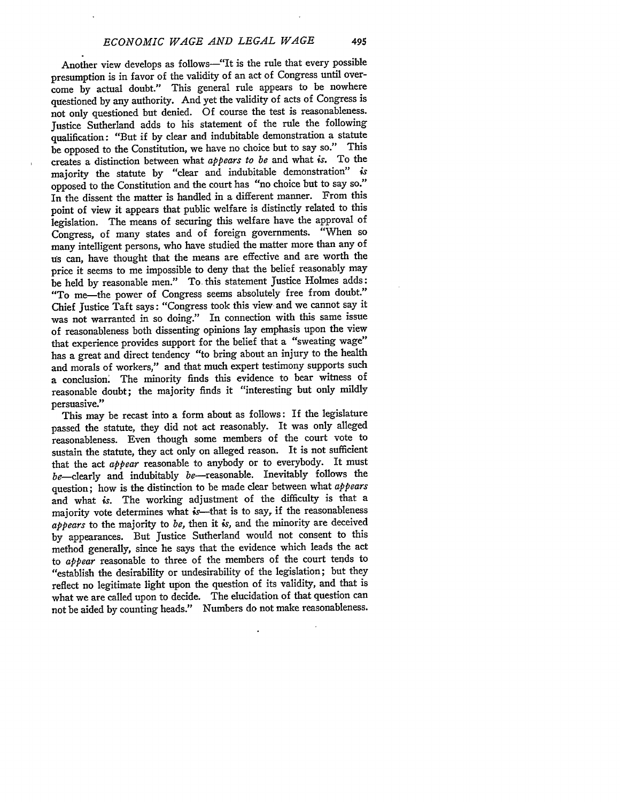Another view develops as follows-"It is the rule that every possible presumption is in favor of the validity of an act of Congress until overcome by actual doubt." This general rule appears to be nowhere questioned by any authority. And yet the validity of acts of Congress is not only questioned but denied. Of course the test is reasonableness. Justice Sutherland adds to his statement of the rule the following qualification: "But if by clear and indubitable demonstration a statute be opposed to the Constitution, we have no choice but to say so." This creates a distinction between what *appears to be* and what *is.* To the majority the statute by "clear and indubitable demonstration" is opposed to the Constitution and the court has "no choice but to say so." In the dissent the matter is handled in a different manner. From this point of view it appears that public welfare is distinctly related to this legislation. The means of securing this welfare have the approval of Congress, of many states and of foreign governments. "When so many intelligent persons, who have studied the matter more than any of us can, have thought that the means are effective and are worth the price it seems to me impossible to deny that the belief reasonably may be held by reasonable men." To this statement Justice Holmes adds: "To me-the power of Congress seems absolutely free from doubt." Chief Justice Taft says: "Congress took this view and we cannot say it was not warranted in so doing." In connection with this same issue of reasonableness both dissenting opinions lay emphasis upon the view that experience provides support for the belief that a "sweating wage" has a great and direct tendency "to bring about an injury to the health and morals of workers," and that much expert testimony supports such a conclusion. The minority finds this evidence to bear witness of reasonable doubt; the majority finds it "interesting but only mildly persuasive."

This may be recast into a form about as follows: If the legislature passed the statute, they did not act reasonably. It was only alleged reasonableness. Even though some members of the court vote to sustain the statute, they act only on alleged reason. It is not sufficient that the act *appear* reasonable to anybody or to everybody. It must  $be$ -clearly and indubitably  $be$ --reasonable. Inevitably follows the question; how is the distinction to be made clear between what *appears* and what *is.* The working adjustment of the difficulty is that a majority vote determines what is-that is to say, if the reasonableness *appears* to the majority to *be,* then it *is,* and the minority are deceived by appearances. But Justice Sutherland would not consent to this method generally, since he says that the evidence which leads the act to *appear* reasonable to three of the members of the court tends to "establish the desirability or undesirability of the legislation; but they reflect no legitimate light upon the question of its validity, and that is what we are called upon to decide. The elucidation of that question can not be aided by counting heads." Numbers do not make reasonableness.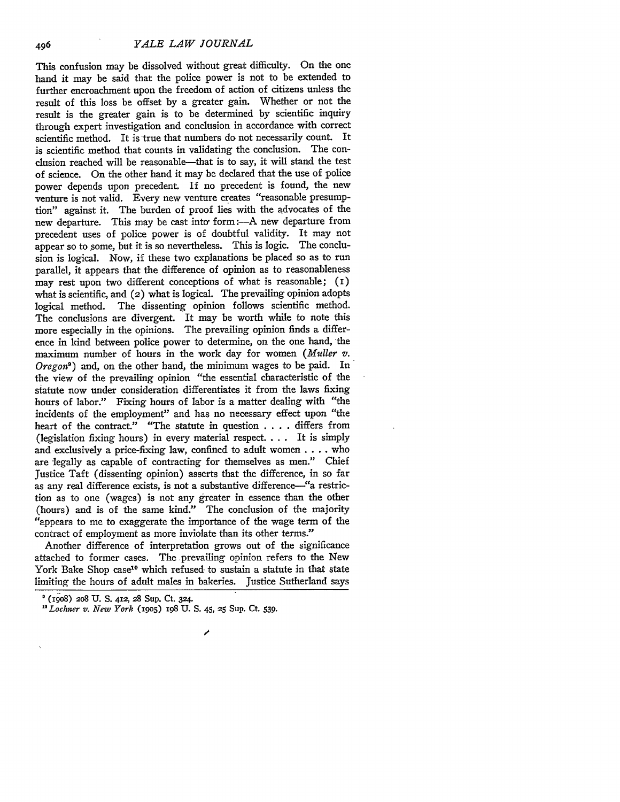This confusion may be dissolved without great difficulty. On the one hand it may be said that the police power is not to be extended to further encroachment upon the freedom of action of citizens unless the result of this loss be offset by a greater gain. Whether or not the result is the greater gain is to be determined by scientific inquiry through expert investigation and conclusion in accordance with correct scientific method. It is true that numbers do not necessarily count. It is scientific method that counts in validating the conclusion. The conclusion reached will be reasonable—that is to say, it will stand the test of science. On the other hand it may be declared that the use of police power depends upon precedent. If no precedent is found, the new venture is not valid. Every new venture creates "reasonable presumption" against it. The burden of proof lies with the advocates of the new departure. This may be cast into form :- A new departure from precedent uses of police power is of doubtful validity. It may not appear so to some, but it is so nevertheless. This is logic. The conclusion is logical. Now, if these two explanations be placed so as to run parallel, it appears that the difference of opinion as to reasonableness may rest upon two different conceptions of what is reasonable; (i) what is scientific, and (2) what is logical. The prevailing opinion adopts logical method. The dissenting opinion follows scientific method. The conclusions are divergent. It may be worth while to note this more especially in the opinions. The prevailing opinion finds a difference in kind between police power to determine, on the one hand, the maximum number of hours in the work day for women *(Muller v. Oregon*<sup>9</sup>) and, on the other hand, the minimum wages to be paid. In the view of the prevailing opinion "the essential characteristic of the statute now under consideration differentiates it from the laws fixing hours of labor." Fixing hours of labor is a matter dealing with "the incidents of the employment" and has no necessary effect upon "the heart of the contract." "The statute in question . **.** . differs from (legislation fixing hours) in every material respect **....** It is simply and exclusively a price-fixing law, confined to adult women  $\dots$  who are legally as capable of contracting for themselves as men." Chief Justice Taft (dissenting opinion) asserts that the difference, in so far as any real difference exists, is not a substantive difference--"a restriction as to one (wages) is not any greater in essence than the other (hours) and is of the same kind." The conclusion of the majority "appears to me to exaggerate the importance of the wage term of the contract of employment as more inviolate than its other terms."

Another difference of interpretation grows out of the significance attached to former cases. The prevailing opinion refers to the New York Bake Shop case'0 which refused to sustain a statute in that state limiting the hours of adult males in bakeries. Justice Sutherland says

ر

<sup>(</sup>ia8) **208 U.** S. 412, **28** Sup. Ct. 324. *<sup>10</sup>*

*Lochner v. New York* (i9o5) i98 **U. S.** 45, 25 Sup. Ct. **539.**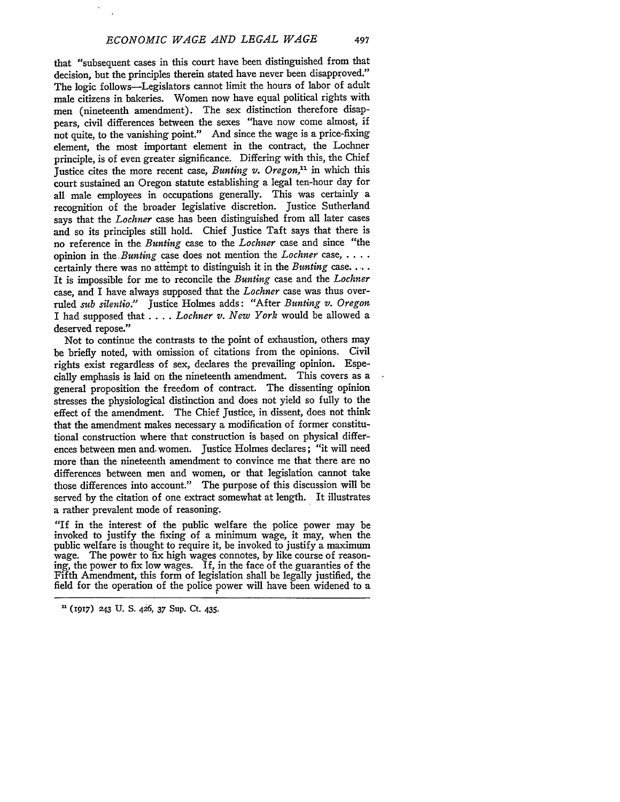that "subsequent cases in this court have been distinguished from that decision, but the principles therein stated have never been disapproved." The logic follows-Legislators cannot limit the hours of labor of adult male citizens in bakeries. Women now have equal political rights with men (nineteenth amendment). The sex distinction therefore disappears, civil differences between the sexes "have now come almost, if not quite, to the vanishing point." And since the wage is a price-fixing element, the most important element in the contract, the Lochner principle, is of even greater significance. Differing with this, the Chief Justice cites the more recent case, *Bunting v. Oregon,"* in which this court sustained an Oregon statute establishing a legal ten-hour day for all male employees in occupations generally. This was certainly a recognition of the broader legislative discretion. Justice Sutherland says that the *Lochner* case has been distinguished from all later cases and so its principles still hold. Chief Justice Taft says that there is no reference in the *Bunting* case to the *Lochner* case and since "the opinion in the *Bunting* case does not mention the *Lochner* case, .... certainly there was no attempt to distinguish it in the *Bunting* case.. It is impossible for me to reconcile the *Bunting* case and the *Lochner* case, and I have always supposed that the *Lochner* case was thus overruled *sub silentio."* Justice Holmes adds: "After *Bunting v. Oregon* I had supposed that **....** *Lochner v. New York* would be allowed a deserved repose."

Not to continue the contrasts to the point of exhaustion, others may be briefly noted, with omission of citations from the opinions. Civil rights exist regardless of sex, declares the prevailing opinion. Especially emphasis is laid on the nineteenth amendment. This covers as a general proposition the freedom of contract. The dissenting opinion stresses the physiological distinction and does not yield so fully to the effect of the amendment. The Chief Justice, in dissent, does not think that the amendment makes necessary a modification of former constitutional construction where that construction is based on physical differences between men and. women. Justice Holmes declares; "it will need more than the nineteenth amendment to convince me that there are no differences between men and women, or that legislation cannot take those differences into account." The purpose of this discussion will be served by the citation of one extract somewhat at length. It illustrates a rather prevalent mode of reasoning.

"If in the interest of the public welfare the police power may be invoked to justify the fixing of a minimum wage, it may, when the public welfare is thought to require it, be invoked to justify a maximum wage. The power to fix high wages connotes, by like course of reasoning, the power to fix low wages. If, in the face of the guaranties of the Fifth Amendment, this form of legislation shall be legally justified, the field for the operation of the police power will have been widened to a

**<sup>&</sup>quot; (,917)** 243 **U.** S. 4.6, **37** Sup. Ct. 435.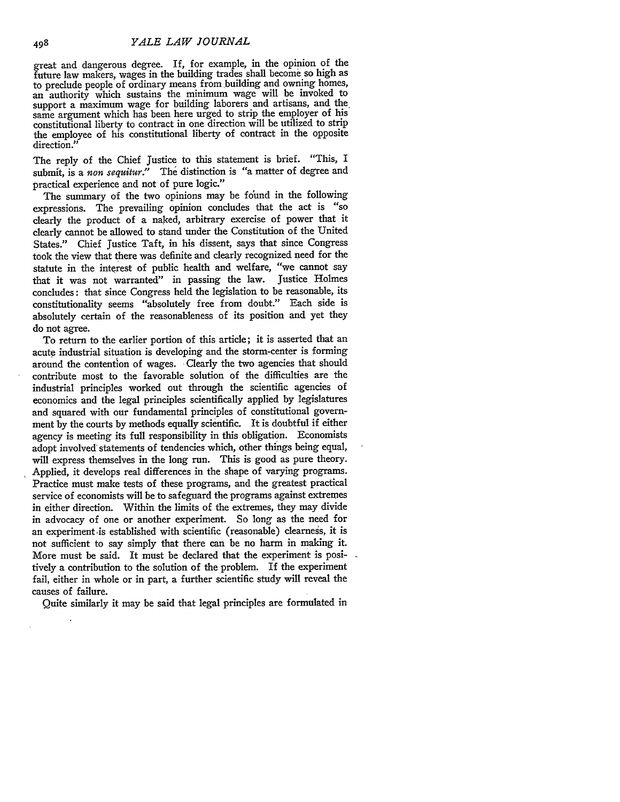great and dangerous degree. If, for example, in the opinion of the future law makers, wages in the building trades shall become so high as to preclude people of ordinary means from building and owning homes, an authority which sustains the minimum wage will be invoked to support a maximum wage for building laborers and artisans, and the same argument which has been here urged to strip the employer of his constitutional liberty to contract in one direction will be utilized to strip the employee of his constitutional liberty of contract in the opposite direction."

The reply of the Chief Justice to this statement is brief. "This, I submit, is a non sequitur." The distinction is "a matter of degree and practical experience and not of pure logic."

The summary of the two opinions may be found in the following expressions. The prevailing opinion concludes that the act is "so clearly the product of a naked, arbitrary exercise of power that it clearly cannot be allowed to stand under the Constitution of the United States." Chief Justice Taft, in his dissent, says that since Congress took the view that there was definite and clearly recognized need for the statute in the interest of public health and welfare, "we cannot say that it was not warranted" in passing the law. justice Holmes concludes: that since Congress held the legislation to be reasonable, its constitutionality seems "absolutely free from doubt." Each side is absolutely certain of the reasonableness of its position and yet they do not agree.

To return to the earlier portion of this article; it is asserted that an acute industrial situation is developing and the storm-center is forming around the contention of wages. Clearly the two agencies that should contribute most to the favorable solution of the difficulties are the industrial principles worked out through the scientific agencies of economics and the legal principles scientifically applied by legislatures and squared with our fundamental principles of constitutional government by the courts by methods equally scientific. It is doubtful if either agency is meeting its full responsibility in this obligation. Economists adopt involved statements of tendencies which, other things being equal, will express themselves in the long run. This is good as pure theory. Applied, it develops real differences in the shape of varying programs. Practice must make tests of these programs, and the greatest practical service of economists will be to safeguard the programs against extremes in either direction. Within the limits of the extremes, they may divide in advocacy of one or another experiment. So long as the need for an experiment-is established with scientific (reasonable) clearness, it is not sufficient to say simply that there can be no harm in making it. More must be said. It must be declared that the experiment is positively a contribution to the solution of the problem. If the experiment fail, either in whole or in part, a further scientific study will reveal the causes of failure.

Quite similarly it may be said that legal principles are formulated in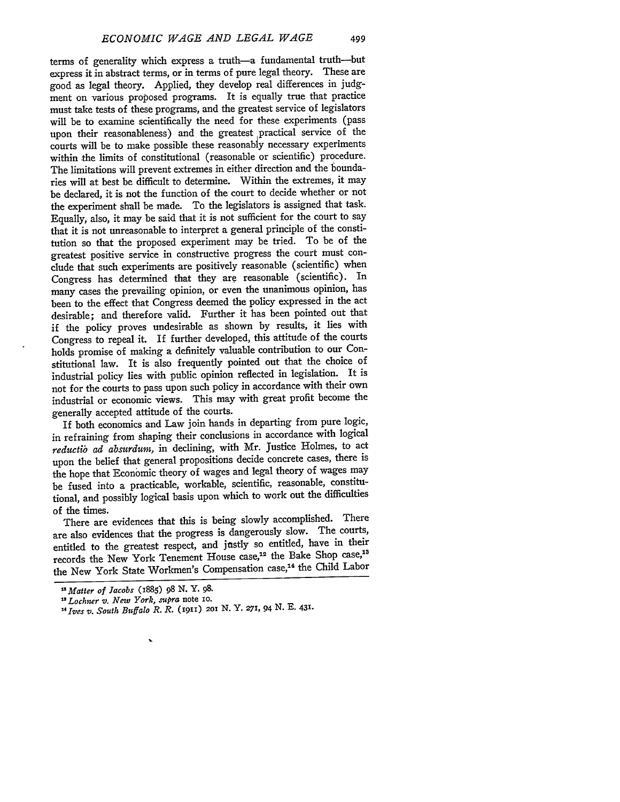499

terms of generality which express a truth-a fundamental truth-but express it in abstract terms, or in terms of pure legal theory. These are good as legal theory. Applied, they develop real differences in **judg**ment on various proposed programs. It is equally true that practice must take tests of these programs, and the greatest service of legislators will be to examine scientifically the need for these experiments (pass upon their reasonableness) and the greatest practical service of the courts will be to make possible these reasonabiy necessary experiments within the limits of constitutional (reasonable or scientific) procedure. The limitations will prevent extremes in either direction and the boundaries will at best be difficult to determine. Within the extremes, it may be declared, it is not the function of the court to decide whether or not the experiment shall be made. To the legislators is assigned that task. Equally, also, it may be said that it is not sufficient for the court to say that it is not unreasonable to interpret a general principle of the constitution so that the proposed experiment may be tried. To be of the greatest positive service in constructive progress the court must conclude that such experiments are positively reasonable (scientific) when Congress has determined that they are reasonable (scientific). In many cases the prevailing opinion, or even the unanimous opinion, has been to the effect that Congress deemed the policy expressed in the act desirable; and therefore valid. Further it has been pointed out that if the policy proves undesirable as shown by results, it lies with Congress to repeal it. If further developed, this attitude of the courts holds promise of making a definitely valuable contribution to our Constitutional law. It is also frequently pointed out that the choice of industrial policy lies with public opinion reflected in legislation. It is not for the courts to pass upon such policy in accordance with their own industrial or economic views. This may with great profit become the generally accepted attitude of the courts.

If both economics and Law join hands in departing from pure logic, in refraining from shaping their conclusions in accordance with logical *reductio ad absurdum,* in declining, with Mr. Justice Holmes, to act upon the belief that general propositions decide concrete cases, there is the hope that Economic theory of wages and legal theory of wages may be fused into a practicable, workable, scientific, reasonable, constitutional, and possibly logical basis upon which to work out the difficulties of the times.

There are evidences that this is being slowly accomplished. There are also evidences that the progress is dangerously slow. The courts, entitled to the greatest respect, and jnstly so entitled, have in their records the New York Tenement House case,<sup>12</sup> the Bake Shop case,<sup>13</sup> the New York State Workmen's Compensation case,<sup>14</sup> the Child Labor

 $\bullet$ 

*<sup>&#</sup>x27;Matter of Jacobs* (1885) **98** *N.* Y. **98.**

*<sup>&</sup>quot; Lochner v. New York, supra* note **io.**

*<sup>&</sup>quot;Ives v. South Buffalo R. R.* (I911) **201** N. Y. 271, *94* **N.** E. 431.